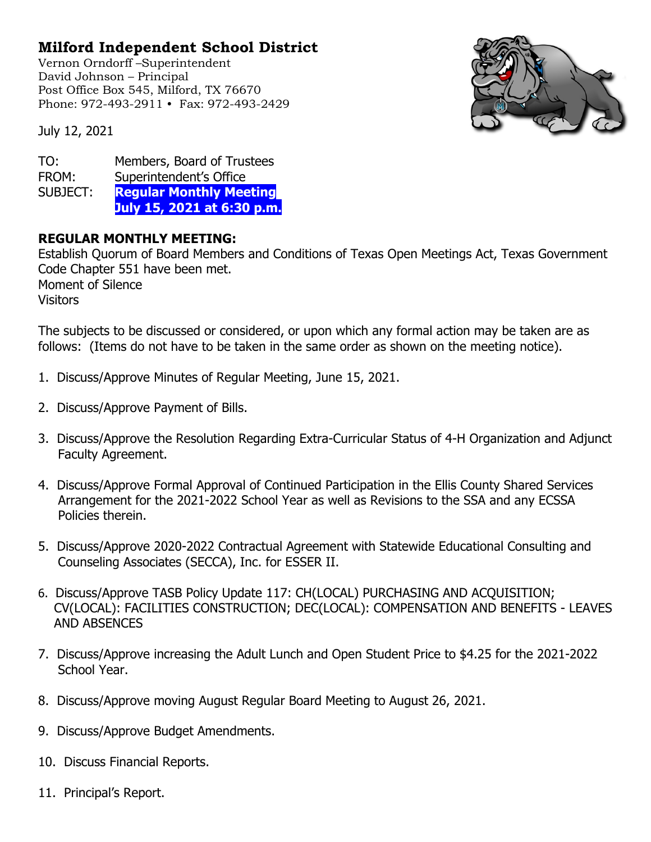## **Milford Independent School District**

Vernon Orndorff –Superintendent David Johnson – Principal Post Office Box 545, Milford, TX 76670 Phone: 972-493-2911 • Fax: 972-493-2429



July 12, 2021

TO: Members, Board of Trustees FROM: Superintendent's Office<br>SUBJECT: Regular Monthly Mee **Regular Monthly Meeting July 15, 2021 at 6:30 p.m.**

## **REGULAR MONTHLY MEETING:**

Establish Quorum of Board Members and Conditions of Texas Open Meetings Act, Texas Government Code Chapter 551 have been met. Moment of Silence **Visitors** 

The subjects to be discussed or considered, or upon which any formal action may be taken are as follows: (Items do not have to be taken in the same order as shown on the meeting notice).

- 1. Discuss/Approve Minutes of Regular Meeting, June 15, 2021.
- 2. Discuss/Approve Payment of Bills.
- 3. Discuss/Approve the Resolution Regarding Extra-Curricular Status of 4-H Organization and Adjunct Faculty Agreement.
- 4. Discuss/Approve Formal Approval of Continued Participation in the Ellis County Shared Services Arrangement for the 2021-2022 School Year as well as Revisions to the SSA and any ECSSA Policies therein.
- 5. Discuss/Approve 2020-2022 Contractual Agreement with Statewide Educational Consulting and Counseling Associates (SECCA), Inc. for ESSER II.
- 6. Discuss/Approve TASB Policy Update 117: CH(LOCAL) PURCHASING AND ACQUISITION; CV(LOCAL): FACILITIES CONSTRUCTION; DEC(LOCAL): COMPENSATION AND BENEFITS - LEAVES AND ABSENCES
- 7. Discuss/Approve increasing the Adult Lunch and Open Student Price to \$4.25 for the 2021-2022 School Year.
- 8. Discuss/Approve moving August Regular Board Meeting to August 26, 2021.
- 9. Discuss/Approve Budget Amendments.
- 10. Discuss Financial Reports.
- 11. Principal's Report.